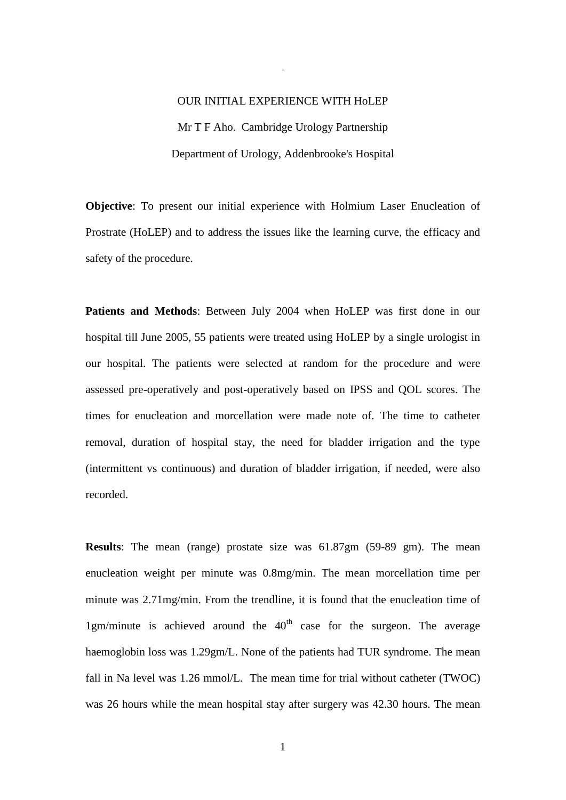# OUR INITIAL EXPERIENCE WITH HoLEP Mr T F Aho. Cambridge Urology Partnership Department of Urology, Addenbrooke's Hospital

+

**Objective**: To present our initial experience with Holmium Laser Enucleation of Prostrate (HoLEP) and to address the issues like the learning curve, the efficacy and safety of the procedure.

**Patients and Methods**: Between July 2004 when HoLEP was first done in our hospital till June 2005, 55 patients were treated using HoLEP by a single urologist in our hospital. The patients were selected at random for the procedure and were assessed pre-operatively and post-operatively based on IPSS and QOL scores. The times for enucleation and morcellation were made note of. The time to catheter removal, duration of hospital stay, the need for bladder irrigation and the type (intermittent vs continuous) and duration of bladder irrigation, if needed, were also recorded.

**Results**: The mean (range) prostate size was 61.87gm (59-89 gm). The mean enucleation weight per minute was 0.8mg/min. The mean morcellation time per minute was 2.71mg/min. From the trendline, it is found that the enucleation time of 1gm/minute is achieved around the  $40<sup>th</sup>$  case for the surgeon. The average haemoglobin loss was 1.29gm/L. None of the patients had TUR syndrome. The mean fall in Na level was 1.26 mmol/L. The mean time for trial without catheter (TWOC) was 26 hours while the mean hospital stay after surgery was 42.30 hours. The mean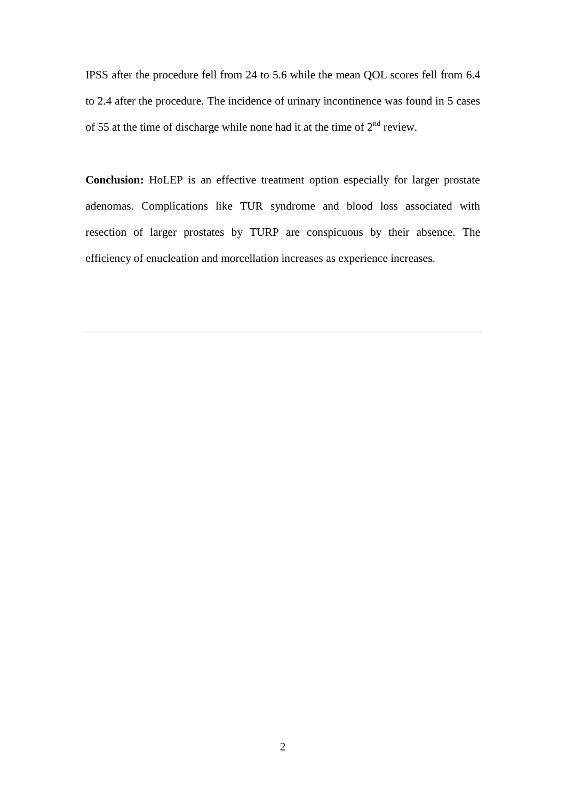IPSS after the procedure fell from 24 to 5.6 while the mean QOL scores fell from 6.4 to 2.4 after the procedure. The incidence of urinary incontinence was found in 5 cases of 55 at the time of discharge while none had it at the time of  $2<sup>nd</sup>$  review.

**Conclusion:** HoLEP is an effective treatment option especially for larger prostate adenomas. Complications like TUR syndrome and blood loss associated with resection of larger prostates by TURP are conspicuous by their absence. The efficiency of enucleation and morcellation increases as experience increases.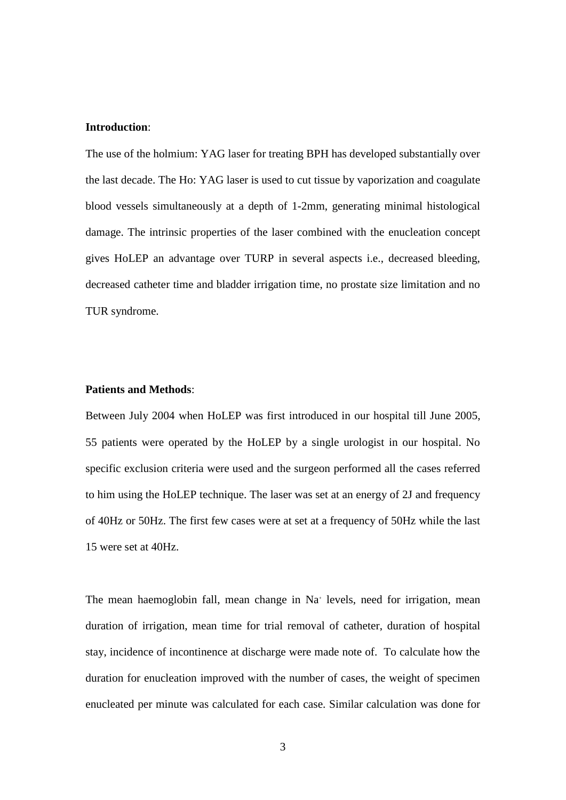#### **Introduction**:

The use of the holmium: YAG laser for treating BPH has developed substantially over the last decade. The Ho: YAG laser is used to cut tissue by vaporization and coagulate blood vessels simultaneously at a depth of 1-2mm, generating minimal histological damage. The intrinsic properties of the laser combined with the enucleation concept gives HoLEP an advantage over TURP in several aspects i.e., decreased bleeding, decreased catheter time and bladder irrigation time, no prostate size limitation and no TUR syndrome.

# **Patients and Methods**:

Between July 2004 when HoLEP was first introduced in our hospital till June 2005, 55 patients were operated by the HoLEP by a single urologist in our hospital. No specific exclusion criteria were used and the surgeon performed all the cases referred to him using the HoLEP technique. The laser was set at an energy of 2J and frequency of 40Hz or 50Hz. The first few cases were at set at a frequency of 50Hz while the last 15 were set at 40Hz.

The mean haemoglobin fall, mean change in Na<sup>+</sup> levels, need for irrigation, mean duration of irrigation, mean time for trial removal of catheter, duration of hospital stay, incidence of incontinence at discharge were made note of. To calculate how the duration for enucleation improved with the number of cases, the weight of specimen enucleated per minute was calculated for each case. Similar calculation was done for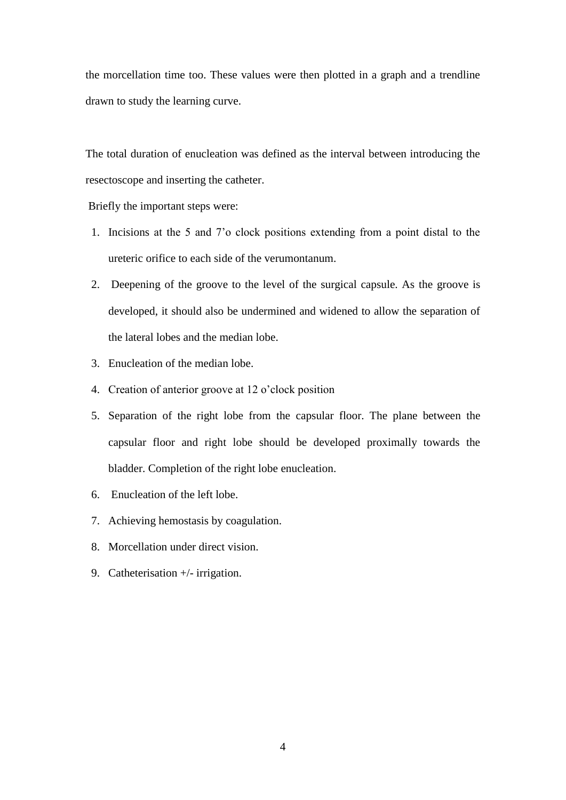the morcellation time too. These values were then plotted in a graph and a trendline drawn to study the learning curve.

The total duration of enucleation was defined as the interval between introducing the resectoscope and inserting the catheter.

Briefly the important steps were:

- 1. Incisions at the 5 and 7'o clock positions extending from a point distal to the ureteric orifice to each side of the verumontanum.
- 2. Deepening of the groove to the level of the surgical capsule. As the groove is developed, it should also be undermined and widened to allow the separation of the lateral lobes and the median lobe.
- 3. Enucleation of the median lobe.
- 4. Creation of anterior groove at 12 o'clock position
- 5. Separation of the right lobe from the capsular floor. The plane between the capsular floor and right lobe should be developed proximally towards the bladder. Completion of the right lobe enucleation.
- 6. Enucleation of the left lobe.
- 7. Achieving hemostasis by coagulation.
- 8. Morcellation under direct vision.
- 9. Catheterisation +/- irrigation.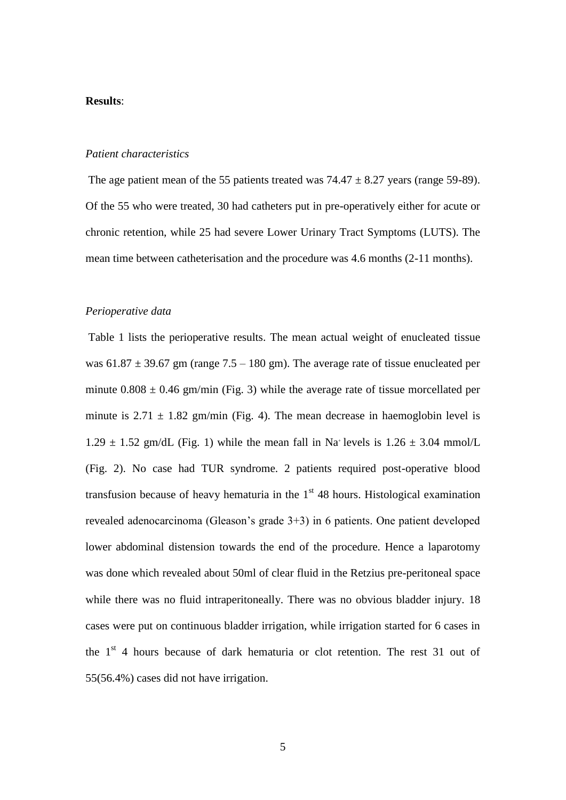#### **Results**:

### *Patient characteristics*

The age patient mean of the 55 patients treated was  $74.47 \pm 8.27$  years (range 59-89). Of the 55 who were treated, 30 had catheters put in pre-operatively either for acute or chronic retention, while 25 had severe Lower Urinary Tract Symptoms (LUTS). The mean time between catheterisation and the procedure was 4.6 months (2-11 months).

### *Perioperative data*

Table 1 lists the perioperative results. The mean actual weight of enucleated tissue was  $61.87 \pm 39.67$  gm (range  $7.5 - 180$  gm). The average rate of tissue enucleated per minute  $0.808 \pm 0.46$  gm/min (Fig. 3) while the average rate of tissue morcellated per minute is  $2.71 \pm 1.82$  gm/min (Fig. 4). The mean decrease in haemoglobin level is  $1.29 \pm 1.52$  gm/dL (Fig. 1) while the mean fall in Na+ levels is  $1.26 \pm 3.04$  mmol/L (Fig. 2). No case had TUR syndrome. 2 patients required post-operative blood transfusion because of heavy hematuria in the  $1<sup>st</sup>$  48 hours. Histological examination revealed adenocarcinoma (Gleason's grade 3+3) in 6 patients. One patient developed lower abdominal distension towards the end of the procedure. Hence a laparotomy was done which revealed about 50ml of clear fluid in the Retzius pre-peritoneal space while there was no fluid intraperitoneally. There was no obvious bladder injury. 18 cases were put on continuous bladder irrigation, while irrigation started for 6 cases in the  $1<sup>st</sup>$  4 hours because of dark hematuria or clot retention. The rest 31 out of 55(56.4%) cases did not have irrigation.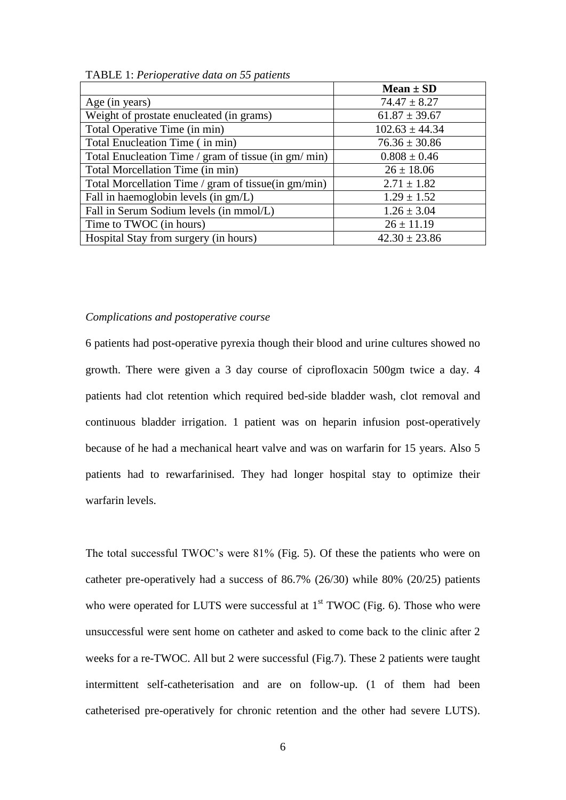|                                                      | $Mean \pm SD$      |
|------------------------------------------------------|--------------------|
| Age (in years)                                       | $74.47 \pm 8.27$   |
| Weight of prostate enucleated (in grams)             | $61.87 \pm 39.67$  |
| Total Operative Time (in min)                        | $102.63 \pm 44.34$ |
| Total Enucleation Time (in min)                      | $76.36 \pm 30.86$  |
| Total Enucleation Time / gram of tissue (in gm/ min) | $0.808 \pm 0.46$   |
| Total Morcellation Time (in min)                     | $26 \pm 18.06$     |
| Total Morcellation Time / gram of tissue(in gm/min)  | $2.71 \pm 1.82$    |
| Fall in haemoglobin levels (in gm/L)                 | $1.29 \pm 1.52$    |
| Fall in Serum Sodium levels (in mmol/L)              | $1.26 \pm 3.04$    |
| Time to TWOC (in hours)                              | $26 \pm 11.19$     |
| Hospital Stay from surgery (in hours)                | $42.30 \pm 23.86$  |

TABLE 1: *Perioperative data on 55 patients*

#### *Complications and postoperative course*

6 patients had post-operative pyrexia though their blood and urine cultures showed no growth. There were given a 3 day course of ciprofloxacin 500gm twice a day. 4 patients had clot retention which required bed-side bladder wash, clot removal and continuous bladder irrigation. 1 patient was on heparin infusion post-operatively because of he had a mechanical heart valve and was on warfarin for 15 years. Also 5 patients had to rewarfarinised. They had longer hospital stay to optimize their warfarin levels.

The total successful TWOC's were 81% (Fig. 5). Of these the patients who were on catheter pre-operatively had a success of 86.7% (26/30) while 80% (20/25) patients who were operated for LUTS were successful at  $1<sup>st</sup> TWOC$  (Fig. 6). Those who were unsuccessful were sent home on catheter and asked to come back to the clinic after 2 weeks for a re-TWOC. All but 2 were successful (Fig.7). These 2 patients were taught intermittent self-catheterisation and are on follow-up. (1 of them had been catheterised pre-operatively for chronic retention and the other had severe LUTS).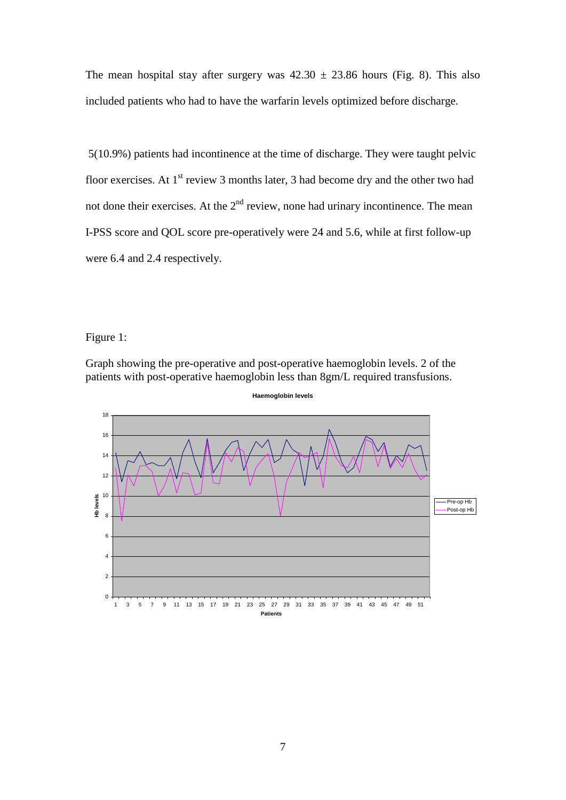The mean hospital stay after surgery was  $42.30 \pm 23.86$  hours (Fig. 8). This also included patients who had to have the warfarin levels optimized before discharge.

5(10.9%) patients had incontinence at the time of discharge. They were taught pelvic floor exercises. At  $1<sup>st</sup>$  review 3 months later, 3 had become dry and the other two had not done their exercises. At the  $2<sup>nd</sup>$  review, none had urinary incontinence. The mean I-PSS score and QOL score pre-operatively were 24 and 5.6, while at first follow-up were 6.4 and 2.4 respectively.

Figure 1:

Graph showing the pre-operative and post-operative haemoglobin levels. 2 of the patients with post-operative haemoglobin less than 8gm/L required transfusions.



**Haemoglobin levels**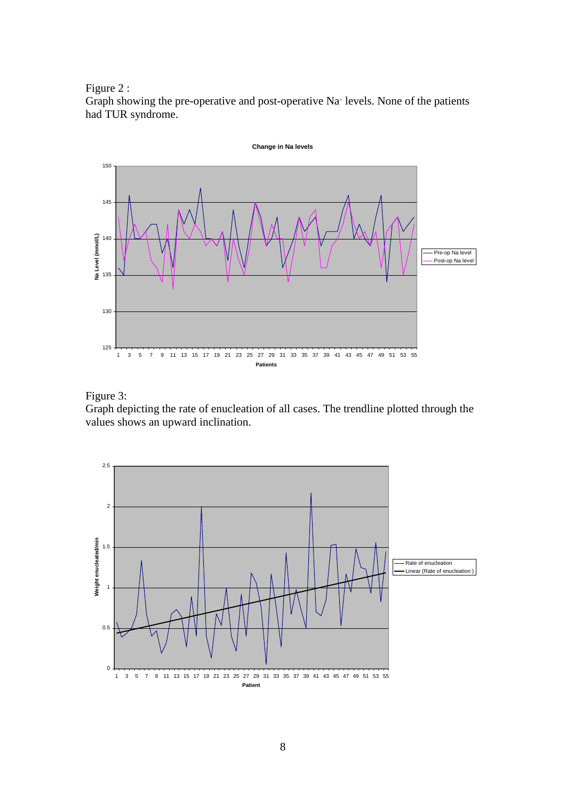Figure 2 :

Graph showing the pre-operative and post-operative Na<sup>+</sup> levels. None of the patients had TUR syndrome.





Graph depicting the rate of enucleation of all cases. The trendline plotted through the values shows an upward inclination.

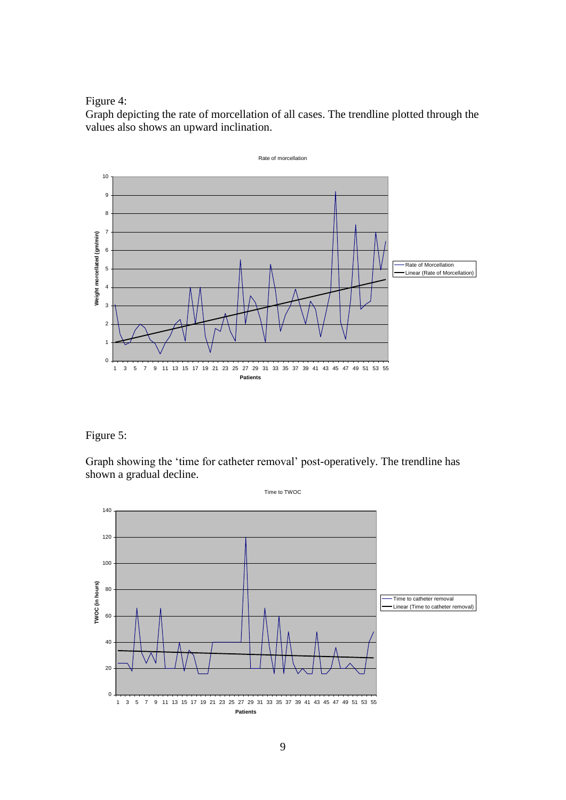Figure 4:

Graph depicting the rate of morcellation of all cases. The trendline plotted through the values also shows an upward inclination.



Figure 5:

Graph showing the 'time for catheter removal' post-operatively. The trendline has shown a gradual decline.

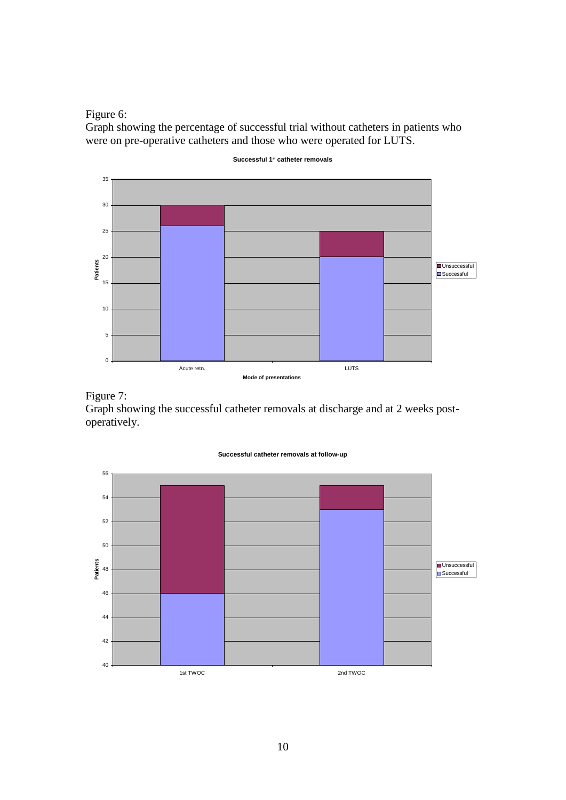Figure 6:

Graph showing the percentage of successful trial without catheters in patients who were on pre-operative catheters and those who were operated for LUTS.



**Successful 1st catheter removals**

Figure 7:

Graph showing the successful catheter removals at discharge and at 2 weeks postoperatively.



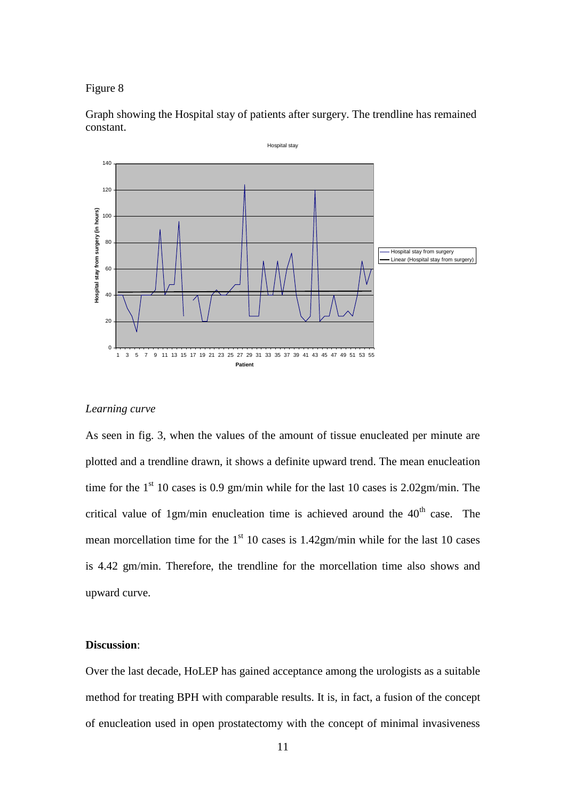Figure 8

Graph showing the Hospital stay of patients after surgery. The trendline has remained constant.



#### *Learning curve*

As seen in fig. 3, when the values of the amount of tissue enucleated per minute are plotted and a trendline drawn, it shows a definite upward trend. The mean enucleation time for the  $1<sup>st</sup> 10$  cases is 0.9 gm/min while for the last 10 cases is 2.02gm/min. The critical value of 1gm/min enucleation time is achieved around the  $40<sup>th</sup>$  case. The mean morcellation time for the  $1<sup>st</sup> 10$  cases is 1.42gm/min while for the last 10 cases is 4.42 gm/min. Therefore, the trendline for the morcellation time also shows and upward curve.

## **Discussion**:

Over the last decade, HoLEP has gained acceptance among the urologists as a suitable method for treating BPH with comparable results. It is, in fact, a fusion of the concept of enucleation used in open prostatectomy with the concept of minimal invasiveness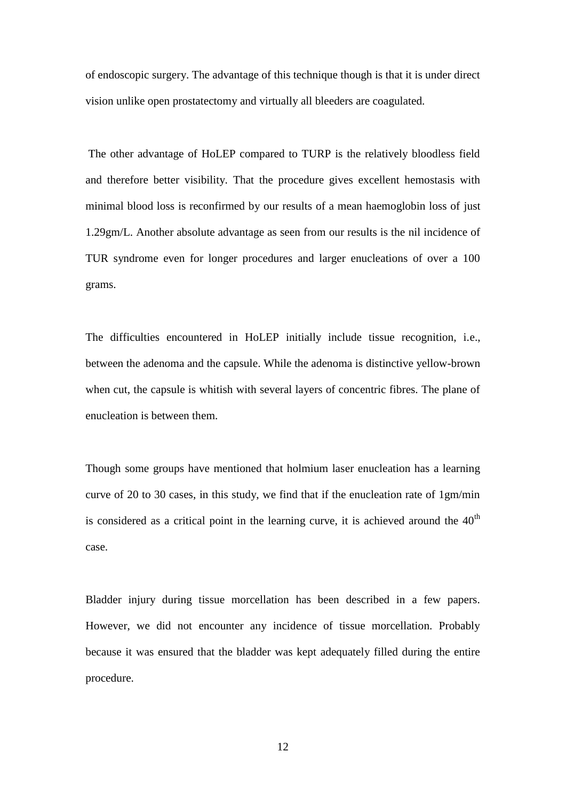of endoscopic surgery. The advantage of this technique though is that it is under direct vision unlike open prostatectomy and virtually all bleeders are coagulated.

The other advantage of HoLEP compared to TURP is the relatively bloodless field and therefore better visibility. That the procedure gives excellent hemostasis with minimal blood loss is reconfirmed by our results of a mean haemoglobin loss of just 1.29gm/L. Another absolute advantage as seen from our results is the nil incidence of TUR syndrome even for longer procedures and larger enucleations of over a 100 grams.

The difficulties encountered in HoLEP initially include tissue recognition, i.e., between the adenoma and the capsule. While the adenoma is distinctive yellow-brown when cut, the capsule is whitish with several layers of concentric fibres. The plane of enucleation is between them.

Though some groups have mentioned that holmium laser enucleation has a learning curve of 20 to 30 cases, in this study, we find that if the enucleation rate of 1gm/min is considered as a critical point in the learning curve, it is achieved around the  $40<sup>th</sup>$ case.

Bladder injury during tissue morcellation has been described in a few papers. However, we did not encounter any incidence of tissue morcellation. Probably because it was ensured that the bladder was kept adequately filled during the entire procedure.

12